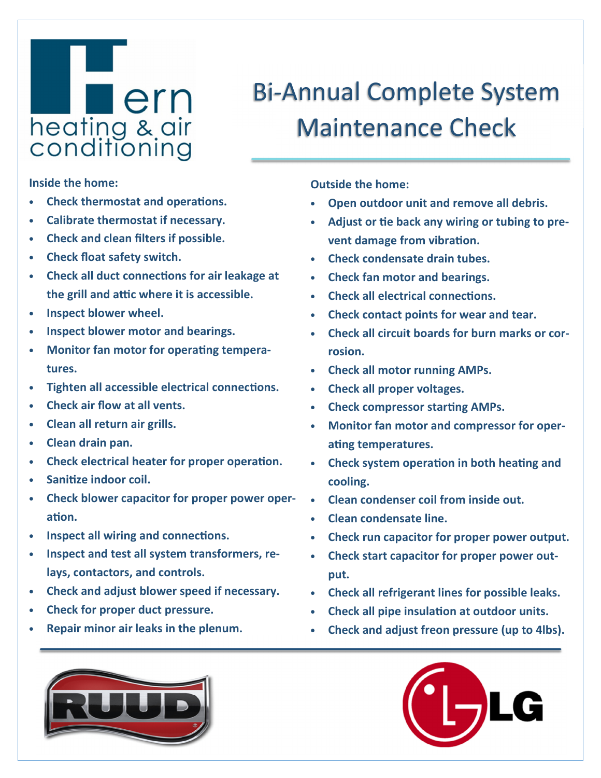## **Lern** heating & air<br>conditioning

## Bi-Annual Complete System Maintenance Check

**Inside the home:** 

- **Check thermostat and operations.**
- **Calibrate thermostat if necessary.**
- **Check and clean filters if possible.**
- **Check float safety switch.**
- Check all duct connections for air leakage at the grill and attic where it is accessible.
- **Inspect blower wheel.**
- **Inspect blower motor and bearings.**
- **Monitor fan motor for operating temperatures.**
- **Tighten all accessible electrical connections.**
- **Check air flow at all vents.**
- **Clean all return air grills.**
- **Clean drain pan.**
- Check electrical heater for proper operation.
- Sanitize indoor coil.
- **Check blower capacitor for proper power oper**ation.
- Inspect all wiring and connections.
- **Inspect and test all system transformers, relays, contactors, and controls.**
- **Check and adjust blower speed if necessary.**
- **Check for proper duct pressure.**
- **Repair minor air leaks in the plenum.**

**Outside the home:** 

- **Open outdoor unit and remove all debris.**
- Adjust or tie back any wiring or tubing to pre**vent damage from vibration.**
- **Check condensate drain tubes.**
- **Check fan motor and bearings.**
- **Check all electrical connections.**
- **Check contact points for wear and tear.**
- **Check all circuit boards for burn marks or corrosion.**
- **Check all motor running AMPs.**
- **Check all proper voltages.**
- **Check compressor starting AMPs.**
- **Monitor fan motor and compressor for oper**ating temperatures.
- **Check system operation in both heating and cooling.**
- **Clean condenser coil from inside out.**
- **Clean condensate line.**
- **Check run capacitor for proper power output.**
- **Check start capacitor for proper power output.**
- **Check all refrigerant lines for possible leaks.**
- **Check all pipe insulation at outdoor units.**
- **Check and adjust freon pressure (up to 4lbs).**